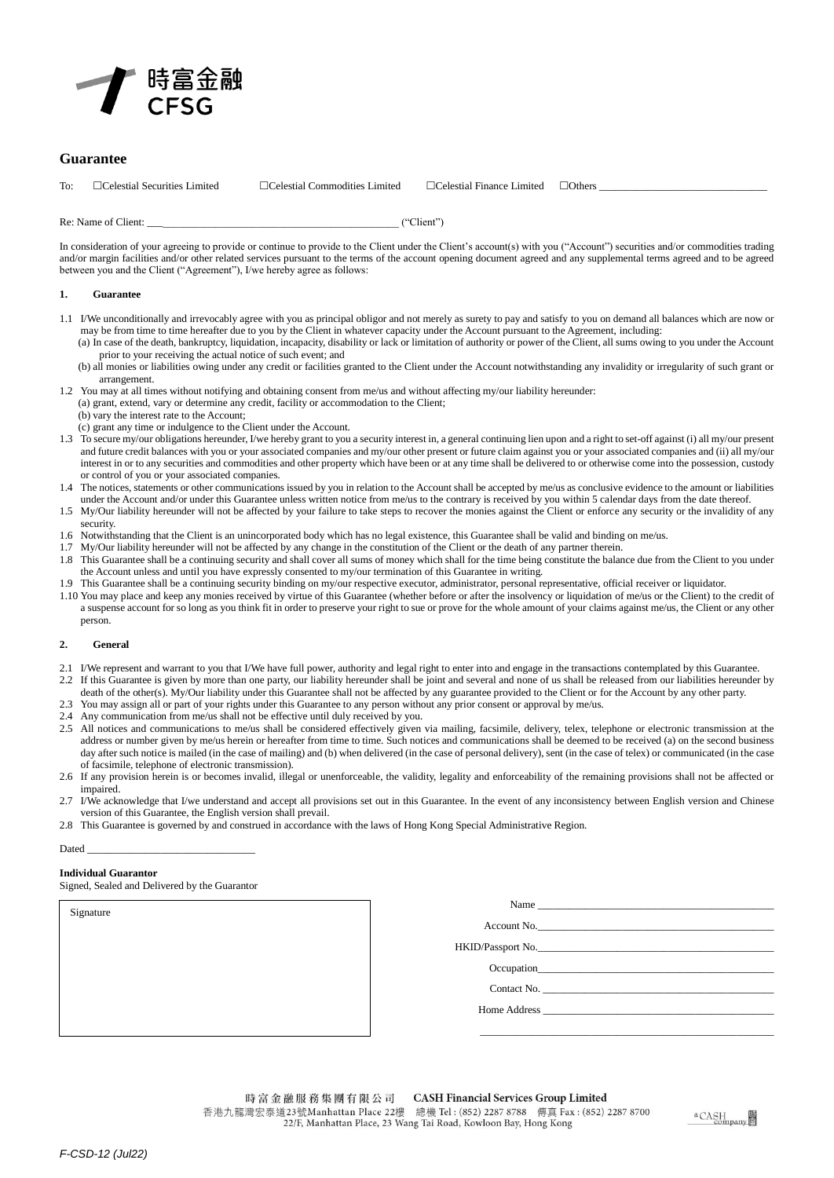

# **Guarantee**

To:  $\Box$ Celestial Securities Limited  $\Box$ Celestial Commodities Limited  $\Box$ Celestial Finance Limited  $\Box$ Others

Re: Name of Client:  $($ "Client")

In consideration of your agreeing to provide or continue to provide to the Client under the Client's account(s) with you ("Account") securities and/or commodities trading and/or margin facilities and/or other related services pursuant to the terms of the account opening document agreed and any supplemental terms agreed and to be agreed between you and the Client ("Agreement"), I/we hereby agree as follows:

#### **1. Guarantee**

- 1.1 I/We unconditionally and irrevocably agree with you as principal obligor and not merely as surety to pay and satisfy to you on demand all balances which are now or may be from time to time hereafter due to you by the Client in whatever capacity under the Account pursuant to the Agreement, including:
	- (a) In case of the death, bankruptcy, liquidation, incapacity, disability or lack or limitation of authority or power of the Client, all sums owing to you under the Account prior to your receiving the actual notice of such event; and
	- (b) all monies or liabilities owing under any credit or facilities granted to the Client under the Account notwithstanding any invalidity or irregularity of such grant or arrangement.
- 1.2 You may at all times without notifying and obtaining consent from me/us and without affecting my/our liability hereunder:
- (a) grant, extend, vary or determine any credit, facility or accommodation to the Client;
	- (b) vary the interest rate to the Account;
	- (c) grant any time or indulgence to the Client under the Account.
- 1.3 To secure my/our obligations hereunder, I/we hereby grant to you a security interest in, a general continuing lien upon and a right to set-off against (i) all my/our present and future credit balances with you or your associated companies and my/our other present or future claim against you or your associated companies and (ii) all my/our interest in or to any securities and commodities and other property which have been or at any time shall be delivered to or otherwise come into the possession, custody or control of you or your associated companies.
- 1.4 The notices, statements or other communications issued by you in relation to the Account shall be accepted by me/us as conclusive evidence to the amount or liabilities under the Account and/or under this Guarantee unless written notice from me/us to the contrary is received by you within 5 calendar days from the date thereof. 1.5 My/Our liability hereunder will not be affected by your failure to take steps to recover the monies against the Client or enforce any security or the invalidity of any
- security. 1.6 Notwithstanding that the Client is an unincorporated body which has no legal existence, this Guarantee shall be valid and binding on me/us.
- 1.7 My/Our liability hereunder will not be affected by any change in the constitution of the Client or the death of any partner therein.
- 1.8 This Guarantee shall be a continuing security and shall cover all sums of money which shall for the time being constitute the balance due from the Client to you under the Account unless and until you have expressly consented to my/our termination of this Guarantee in writing.
- 1.9 This Guarantee shall be a continuing security binding on my/our respective executor, administrator, personal representative, official receiver or liquidator.
- 1.10 You may place and keep any monies received by virtue of this Guarantee (whether before or after the insolvency or liquidation of me/us or the Client) to the credit of a suspense account for so long as you think fit in order to preserve your right to sue or prove for the whole amount of your claims against me/us, the Client or any other person.

#### **2. General**

- 2.1 I/We represent and warrant to you that I/We have full power, authority and legal right to enter into and engage in the transactions contemplated by this Guarantee.
- 2.2 If this Guarantee is given by more than one party, our liability hereunder shall be joint and several and none of us shall be released from our liabilities hereunder by death of the other(s). My/Our liability under this Guarantee shall not be affected by any guarantee provided to the Client or for the Account by any other party.
- 2.3 You may assign all or part of your rights under this Guarantee to any person without any prior consent or approval by me/us.<br>2.4 Any communication from me/us shall not be effective until duly received by you.
- Any communication from me/us shall not be effective until duly received by you.
- 2.5 All notices and communications to me/us shall be considered effectively given via mailing, facsimile, delivery, telex, telephone or electronic transmission at the address or number given by me/us herein or hereafter from time to time. Such notices and communications shall be deemed to be received (a) on the second business day after such notice is mailed (in the case of mailing) and (b) when delivered (in the case of personal delivery), sent (in the case of telex) or communicated (in the case of facsimile, telephone of electronic transmission).
- 2.6 If any provision herein is or becomes invalid, illegal or unenforceable, the validity, legality and enforceability of the remaining provisions shall not be affected or impaired.
- 2.7 I/We acknowledge that I/we understand and accept all provisions set out in this Guarantee. In the event of any inconsistency between English version and Chinese version of this Guarantee, the English version shall prevail.
- 2.8 This Guarantee is governed by and construed in accordance with the laws of Hong Kong Special Administrative Region.

#### Dated

### **Individual Guarantor**

Signed, Sealed and Delivered by the Guarantor

Signature

| Account No.       |
|-------------------|
| HKID/Passport No. |
|                   |
|                   |
|                   |
|                   |
|                   |